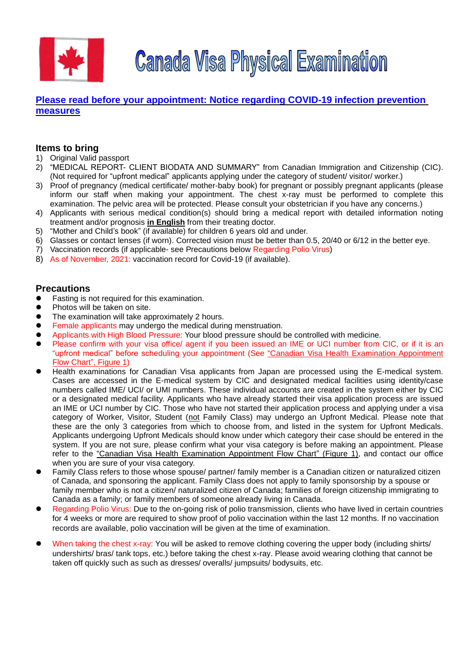

**Canada Visa Physical Examination** 

# **[Please read before your appointment:](https://tmsc.jp/notice-regarding-covid-19-infection-prevention-measures) Notice regarding COVID-19 infection prevention [measures](https://tmsc.jp/notice-regarding-covid-19-infection-prevention-measures)**

# **Items to bring**

- 1) Original Valid passport
- 2) "MEDICAL REPORT- CLIENT BIODATA AND SUMMARY" from Canadian Immigration and Citizenship (CIC). (Not required for "upfront medical" applicants applying under the category of student/ visitor/ worker.)
- 3) Proof of pregnancy (medical certificate/ mother-baby book) for pregnant or possibly pregnant applicants (please inform our staff when making your appointment. The chest x-ray must be performed to complete this examination. The pelvic area will be protected. Please consult your obstetrician if you have any concerns.)
- 4) Applicants with serious medical condition(s) should bring a medical report with detailed information noting treatment and/or prognosis **in English** from their treating doctor.
- 5) "Mother and Child's book" (if available) for children 6 years old and under.
- 6) Glasses or contact lenses (if worn). Corrected vision must be better than 0.5, 20/40 or 6/12 in the better eye.
- 7) Vaccination records (if applicable- see Precautions below Regarding Polio Virus)
- 8) As of November, 2021: vaccination record for Covid-19 (if available).

## **Precautions**

- ⚫ Fasting is not required for this examination.
- ⚫ Photos will be taken on site.
- The examination will take approximately 2 hours.
- Female applicants may undergo the medical during menstruation.
- ⚫ Applicants with High Blood Pressure: Your blood pressure should be controlled with medicine.
- Please confirm with your visa office/ agent if you been issued an IME or UCI number from CIC, or if it is an "upfront medical" before scheduling your appointment (See "Canadian Visa Health Examination Appointment Flow Chart", Figure 1)
- ⚫ Health examinations for Canadian Visa applicants from Japan are processed using the E-medical system. Cases are accessed in the E-medical system by CIC and designated medical facilities using identity/case numbers called IME/ UCI/ or UMI numbers. These individual accounts are created in the system either by CIC or a designated medical facility. Applicants who have already started their visa application process are issued an IME or UCI number by CIC. Those who have not started their application process and applying under a visa category of Worker, Visitor, Student (not Family Class) may undergo an Upfront Medical. Please note that these are the only 3 categories from which to choose from, and listed in the system for Upfront Medicals. Applicants undergoing Upfront Medicals should know under which category their case should be entered in the system. If you are not sure, please confirm what your visa category is before making an appointment. Please refer to the "Canadian Visa Health Examination Appointment Flow Chart" (Figure 1), and contact our office when you are sure of your visa category.
- ⚫ Family Class refers to those whose spouse/ partner/ family member is a Canadian citizen or naturalized citizen of Canada, and sponsoring the applicant. Family Class does not apply to family sponsorship by a spouse or family member who is not a citizen/ naturalized citizen of Canada; families of foreign citizenship immigrating to Canada as a family; or family members of someone already living in Canada.
- ⚫ Regarding Polio Virus: Due to the on-going risk of polio transmission, clients who have lived in certain countries for 4 weeks or more are required to show proof of polio vaccination within the last 12 months. If no vaccination records are available, polio vaccination will be given at the time of examination.
- When taking the chest x-ray: You will be asked to remove clothing covering the upper body (including shirts/ undershirts/ bras/ tank tops, etc.) before taking the chest x-ray. Please avoid wearing clothing that cannot be taken off quickly such as such as dresses/ overalls/ jumpsuits/ bodysuits, etc.